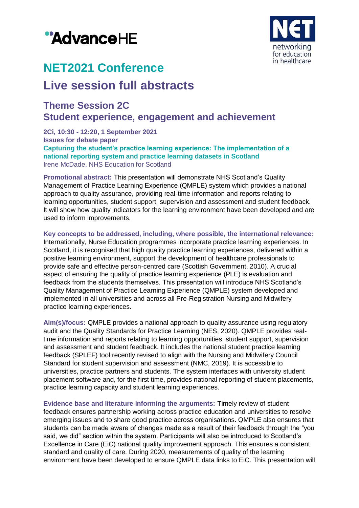



# **NET2021 Conference**

## **Live session full abstracts**

### **Theme Session 2C Student experience, engagement and achievement**

**2Ci, 10:30 - 12:20, 1 September 2021 Issues for debate paper Capturing the student's practice learning experience: The implementation of a national reporting system and practice learning datasets in Scotland** Irene McDade, NHS Education for Scotland

**Promotional abstract:** This presentation will demonstrate NHS Scotland's Quality Management of Practice Learning Experience (QMPLE) system which provides a national approach to quality assurance, providing real-time information and reports relating to learning opportunities, student support, supervision and assessment and student feedback. It will show how quality indicators for the learning environment have been developed and are used to inform improvements.

**Key concepts to be addressed, including, where possible, the international relevance:** Internationally, Nurse Education programmes incorporate practice learning experiences. In Scotland, it is recognised that high quality practice learning experiences, delivered within a positive learning environment, support the development of healthcare professionals to provide safe and effective person-centred care (Scottish Government, 2010). A crucial aspect of ensuring the quality of practice learning experience (PLE) is evaluation and feedback from the students themselves. This presentation will introduce NHS Scotland's Quality Management of Practice Learning Experience (QMPLE) system developed and implemented in all universities and across all Pre-Registration Nursing and Midwifery practice learning experiences.

**Aim(s)/focus:** QMPLE provides a national approach to quality assurance using regulatory audit and the Quality Standards for Practice Learning (NES, 2020). QMPLE provides realtime information and reports relating to learning opportunities, student support, supervision and assessment and student feedback. It includes the national student practice learning feedback (SPLEF) tool recently revised to align with the Nursing and Midwifery Council Standard for student supervision and assessment (NMC, 2019). It is accessible to universities, practice partners and students. The system interfaces with university student placement software and, for the first time, provides national reporting of student placements, practice learning capacity and student learning experiences.

**Evidence base and literature informing the arguments:** Timely review of student feedback ensures partnership working across practice education and universities to resolve emerging issues and to share good practice across organisations. QMPLE also ensures that students can be made aware of changes made as a result of their feedback through the "you said, we did" section within the system. Participants will also be introduced to Scotland's Excellence in Care (EiC) national quality improvement approach. This ensures a consistent standard and quality of care. During 2020, measurements of quality of the learning environment have been developed to ensure QMPLE data links to EiC. This presentation will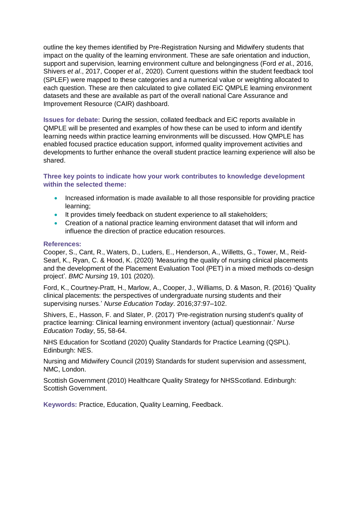outline the key themes identified by Pre-Registration Nursing and Midwifery students that impact on the quality of the learning environment. These are safe orientation and induction, support and supervision, learning environment culture and belongingness (Ford *et a*l., 2016, Shivers *et al*., 2017, Cooper *et al.,* 2020). Current questions within the student feedback tool (SPLEF) were mapped to these categories and a numerical value or weighting allocated to each question. These are then calculated to give collated EiC QMPLE learning environment datasets and these are available as part of the overall national Care Assurance and Improvement Resource (CAIR) dashboard.

**Issues for debate:** During the session, collated feedback and EiC reports available in QMPLE will be presented and examples of how these can be used to inform and identify learning needs within practice learning environments will be discussed. How QMPLE has enabled focused practice education support, informed quality improvement activities and developments to further enhance the overall student practice learning experience will also be shared.

**Three key points to indicate how your work contributes to knowledge development within the selected theme:**

- Increased information is made available to all those responsible for providing practice learning;
- It provides timely feedback on student experience to all stakeholders;
- Creation of a national practice learning environment dataset that will inform and influence the direction of practice education resources.

#### **References:**

Cooper, S., Cant, R., Waters, D., Luders, E., Henderson, A., Willetts, G., Tower, M., Reid-Searl, K., Ryan, C. & Hood, K. (2020) 'Measuring the quality of nursing clinical placements and the development of the Placement Evaluation Tool (PET) in a mixed methods co-design project'. *BMC Nursing* 19, 101 (2020).

Ford, K., Courtney-Pratt, H., Marlow, A., Cooper, J., Williams, D. & Mason, R. (2016) 'Quality clinical placements: the perspectives of undergraduate nursing students and their supervising nurses.' *Nurse Education Today*. 2016;37:97–102.

Shivers, E., Hasson, F. and Slater, P. (2017) 'Pre-registration nursing student's quality of practice learning: Clinical learning environment inventory (actual) questionnair.' *Nurse Education Today*, 55, 58-64.

NHS Education for Scotland (2020) Quality Standards for Practice Learning (QSPL). Edinburgh: NES.

Nursing and Midwifery Council (2019) Standards for student supervision and assessment, NMC, London.

Scottish Government (2010) Healthcare Quality Strategy for NHSScotland. Edinburgh: Scottish Government.

**Keywords:** Practice, Education, Quality Learning, Feedback.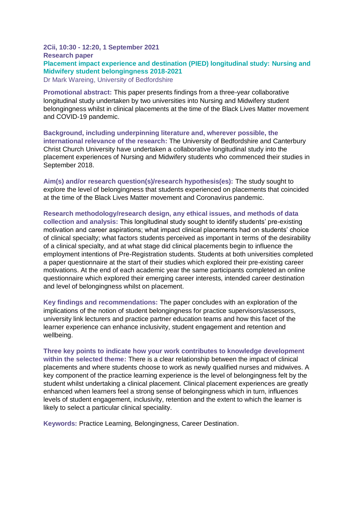#### **2Cii, 10:30 - 12:20, 1 September 2021 Research paper Placement impact experience and destination (PIED) longitudinal study: Nursing and Midwifery student belongingness 2018-2021** Dr Mark Wareing, University of Bedfordshire

**Promotional abstract:** This paper presents findings from a three-year collaborative longitudinal study undertaken by two universities into Nursing and Midwifery student belongingness whilst in clinical placements at the time of the Black Lives Matter movement and COVID-19 pandemic.

**Background, including underpinning literature and, wherever possible, the international relevance of the research:** The University of Bedfordshire and Canterbury Christ Church University have undertaken a collaborative longitudinal study into the placement experiences of Nursing and Midwifery students who commenced their studies in September 2018.

**Aim(s) and/or research question(s)/research hypothesis(es):** The study sought to explore the level of belongingness that students experienced on placements that coincided at the time of the Black Lives Matter movement and Coronavirus pandemic.

**Research methodology/research design, any ethical issues, and methods of data collection and analysis:** This longitudinal study sought to identify students' pre-existing motivation and career aspirations; what impact clinical placements had on students' choice of clinical specialty; what factors students perceived as important in terms of the desirability of a clinical specialty, and at what stage did clinical placements begin to influence the employment intentions of Pre-Registration students. Students at both universities completed a paper questionnaire at the start of their studies which explored their pre-existing career motivations. At the end of each academic year the same participants completed an online questionnaire which explored their emerging career interests, intended career destination and level of belongingness whilst on placement.

**Key findings and recommendations:** The paper concludes with an exploration of the implications of the notion of student belongingness for practice supervisors/assessors, university link lecturers and practice partner education teams and how this facet of the learner experience can enhance inclusivity, student engagement and retention and wellbeing.

**Three key points to indicate how your work contributes to knowledge development within the selected theme:** There is a clear relationship between the impact of clinical placements and where students choose to work as newly qualified nurses and midwives. A key component of the practice learning experience is the level of belongingness felt by the student whilst undertaking a clinical placement. Clinical placement experiences are greatly enhanced when learners feel a strong sense of belongingness which in turn, influences levels of student engagement, inclusivity, retention and the extent to which the learner is likely to select a particular clinical speciality.

**Keywords:** Practice Learning, Belongingness, Career Destination.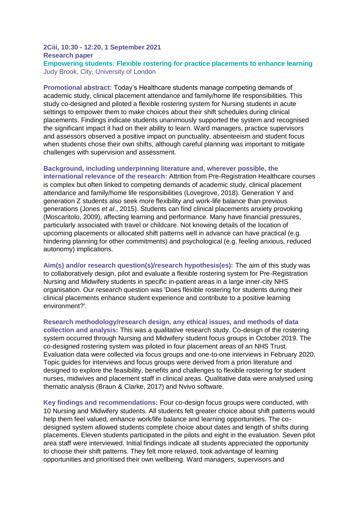#### **2Ciii, 10:30 - 12:20, 1 September 2021 Research paper Empowering students: Flexible rostering for practice placements to enhance learning** Judy Brook, City, University of London

**Promotional abstract:** Today's Healthcare students manage competing demands of academic study, clinical placement attendance and family/home life responsibilities. This study co-designed and piloted a flexible rostering system for Nursing students in acute settings to empower them to make choices about their shift schedules during clinical placements. Findings indicate students unanimously supported the system and recognised the significant impact it had on their ability to learn. Ward managers, practice supervisors and assessors observed a positive impact on punctuality, absenteeism and student focus when students chose their own shifts, although careful planning was important to mitigate challenges with supervision and assessment.

#### **Background, including underpinning literature and, wherever possible, the**

**international relevance of the research:** Attrition from Pre-Registration Healthcare courses is complex but often linked to competing demands of academic study, clinical placement attendance and family/home life responsibilities (Lovegrove, 2018). Generation Y and generation Z students also seek more flexibility and work-life balance than previous generations (Jones *et al*., 2015). Students can find clinical placements anxiety provoking (Moscaritolo, 2009), affecting learning and performance. Many have financial pressures, particularly associated with travel or childcare. Not knowing details of the location of upcoming placements or allocated shift patterns well in advance can have practical (e.g. hindering planning for other commitments) and psychological (e.g. feeling anxious, reduced autonomy) implications.

**Aim(s) and/or research question(s)/research hypothesis(es):** The aim of this study was to collaboratively design, pilot and evaluate a flexible rostering system for Pre-Registration Nursing and Midwifery students in specific in-patient areas in a large inner-city NHS organisation. Our research question was 'Does flexible rostering for students during their clinical placements enhance student experience and contribute to a positive learning environment?'.

**Research methodology/research design, any ethical issues, and methods of data collection and analysis:** This was a qualitative research study. Co-design of the rostering system occurred through Nursing and Midwifery student focus groups in October 2019. The co-designed rostering system was piloted in four placement areas of an NHS Trust. Evaluation data were collected via focus groups and one-to-one interviews in February 2020. Topic guides for interviews and focus groups were derived from a priori literature and designed to explore the feasibility, benefits and challenges to flexible rostering for student nurses, midwives and placement staff in clinical areas. Qualitative data were analysed using thematic analysis (Braun & Clarke, 2017) and Nvivo software.

**Key findings and recommendations:** Four co-design focus groups were conducted, with 10 Nursing and Midwifery students. All students felt greater choice about shift patterns would help them feel valued, enhance work/life balance and learning opportunities. The codesigned system allowed students complete choice about dates and length of shifts during placements. Eleven students participated in the pilots and eight in the evaluation. Seven pilot area staff were interviewed. Initial findings indicate all students appreciated the opportunity to choose their shift patterns. They felt more relaxed, took advantage of learning opportunities and prioritised their own wellbeing. Ward managers, supervisors and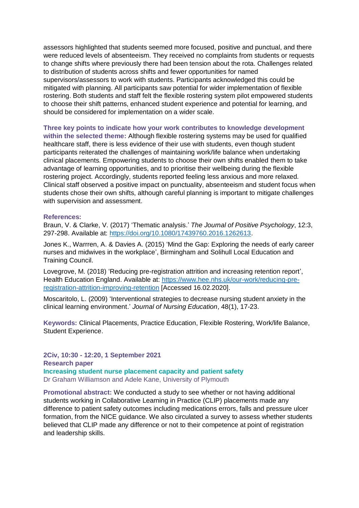assessors highlighted that students seemed more focused, positive and punctual, and there were reduced levels of absenteeism. They received no complaints from students or requests to change shifts where previously there had been tension about the rota. Challenges related to distribution of students across shifts and fewer opportunities for named supervisors/assessors to work with students. Participants acknowledged this could be mitigated with planning. All participants saw potential for wider implementation of flexible rostering. Both students and staff felt the flexible rostering system pilot empowered students to choose their shift patterns, enhanced student experience and potential for learning, and should be considered for implementation on a wider scale.

**Three key points to indicate how your work contributes to knowledge development within the selected theme:** Although flexible rostering systems may be used for qualified healthcare staff, there is less evidence of their use with students, even though student participants reiterated the challenges of maintaining work/life balance when undertaking clinical placements. Empowering students to choose their own shifts enabled them to take advantage of learning opportunities, and to prioritise their wellbeing during the flexible rostering project. Accordingly, students reported feeling less anxious and more relaxed. Clinical staff observed a positive impact on punctuality, absenteeism and student focus when students chose their own shifts, although careful planning is important to mitigate challenges with supervision and assessment.

#### **References:**

Braun, V. & Clarke, V. (2017) 'Thematic analysis.' *The Journal of Positive Psychology*, 12:3, 297-298. Available at: [https://doi.org/10.1080/17439760.2016.1262613.](https://doi.org/10.1080/17439760.2016.1262613)

Jones K., Warrren, A. & Davies A. (2015) 'Mind the Gap: Exploring the needs of early career nurses and midwives in the workplace', Birmingham and Solihull Local Education and Training Council.

Lovegrove, M. (2018) 'Reducing pre-registration attrition and increasing retention report', Health Education England. Available at: [https://www.hee.nhs.uk/our-work/reducing-pre](https://www.hee.nhs.uk/our-work/reducing-pre-registration-attrition-improving-retention)[registration-attrition-improving-retention](https://www.hee.nhs.uk/our-work/reducing-pre-registration-attrition-improving-retention) [Accessed 16.02.2020].

Moscaritolo, L. (2009) 'Interventional strategies to decrease nursing student anxiety in the clinical learning environment.' *Journal of Nursing Education*, 48(1), 17-23.

**Keywords:** Clinical Placements, Practice Education, Flexible Rostering, Work/life Balance, Student Experience.

**2Civ, 10:30 - 12:20, 1 September 2021 Research paper Increasing student nurse placement capacity and patient safety** Dr Graham Williamson and Adele Kane, University of Plymouth

**Promotional abstract:** We conducted a study to see whether or not having additional students working in Collaborative Learning in Practice (CLIP) placements made any difference to patient safety outcomes including medications errors, falls and pressure ulcer formation, from the NICE guidance. We also circulated a survey to assess whether students believed that CLIP made any difference or not to their competence at point of registration and leadership skills.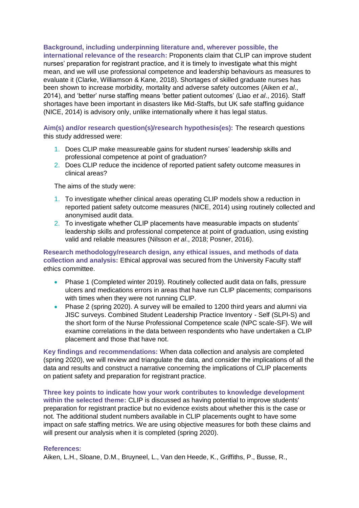**Background, including underpinning literature and, wherever possible, the** 

**international relevance of the research:** Proponents claim that CLIP can improve student nurses' preparation for registrant practice, and it is timely to investigate what this might mean, and we will use professional competence and leadership behaviours as measures to evaluate it (Clarke, Williamson & Kane, 2018). Shortages of skilled graduate nurses has been shown to increase morbidity, mortality and adverse safety outcomes (Aiken *et al*., 2014), and 'better' nurse staffing means 'better patient outcomes' (Liao *et al*., 2016). Staff shortages have been important in disasters like Mid-Staffs, but UK safe staffing guidance (NICE, 2014) is advisory only, unlike internationally where it has legal status.

**Aim(s) and/or research question(s)/research hypothesis(es):** The research questions this study addressed were:

- 1. Does CLIP make measureable gains for student nurses' leadership skills and professional competence at point of graduation?
- 2. Does CLIP reduce the incidence of reported patient safety outcome measures in clinical areas?

The aims of the study were:

- 1. To investigate whether clinical areas operating CLIP models show a reduction in reported patient safety outcome measures (NICE, 2014) using routinely collected and anonymised audit data.
- 2. To investigate whether CLIP placements have measurable impacts on students' leadership skills and professional competence at point of graduation, using existing valid and reliable measures (Nilsson *et al*., 2018; Posner, 2016).

**Research methodology/research design, any ethical issues, and methods of data collection and analysis:** Ethical approval was secured from the University Faculty staff ethics committee.

- Phase 1 (Completed winter 2019). Routinely collected audit data on falls, pressure ulcers and medications errors in areas that have run CLIP placements; comparisons with times when they were not running CLIP.
- Phase 2 (spring 2020). A survey will be emailed to 1200 third years and alumni via JISC surveys. Combined Student Leadership Practice Inventory - Self (SLPI-S) and the short form of the Nurse Professional Competence scale (NPC scale-SF). We will examine correlations in the data between respondents who have undertaken a CLIP placement and those that have not.

**Key findings and recommendations:** When data collection and analysis are completed (spring 2020), we will review and triangulate the data, and consider the implications of all the data and results and construct a narrative concerning the implications of CLIP placements on patient safety and preparation for registrant practice.

**Three key points to indicate how your work contributes to knowledge development within the selected theme:** CLIP is discussed as having potential to improve students' preparation for registrant practice but no evidence exists about whether this is the case or not. The additional student numbers available in CLIP placements ought to have some impact on safe staffing metrics. We are using objective measures for both these claims and will present our analysis when it is completed (spring 2020).

#### **References:**

Aiken, L.H., Sloane, D.M., Bruyneel, L., Van den Heede, K., Griffiths, P., Busse, R.,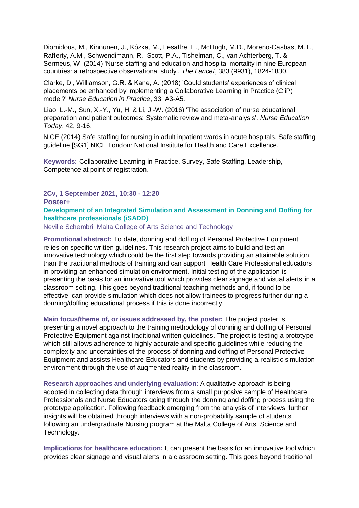Diomidous, M., Kinnunen, J., Kózka, M., Lesaffre, E., McHugh, M.D., Moreno-Casbas, M.T., Rafferty, A.M., Schwendimann, R., Scott, P.A., Tishelman, C., van Achterberg, T. & Sermeus, W. (2014) 'Nurse staffing and education and hospital mortality in nine European countries: a retrospective observational study'. *The Lancet*, 383 (9931), 1824-1830.

Clarke, D., Williamson, G.R. & Kane, A. (2018) 'Could students' experiences of clinical placements be enhanced by implementing a Collaborative Learning in Practice (CliP) model?' *Nurse Education in Practice*, 33, A3-A5.

Liao, L.-M., Sun, X.-Y., Yu, H. & Li, J.-W. (2016) 'The association of nurse educational preparation and patient outcomes: Systematic review and meta-analysis'. *Nurse Education Today*, 42, 9-16.

NICE (2014) Safe staffing for nursing in adult inpatient wards in acute hospitals. Safe staffing guideline [SG1] NICE London: National Institute for Health and Care Excellence.

**Keywords:** Collaborative Learning in Practice, Survey, Safe Staffing, Leadership, Competence at point of registration.

**2Cv, 1 September 2021, 10:30 - 12:20 Poster+**

#### **Development of an Integrated Simulation and Assessment in Donning and Doffing for healthcare professionals (iSADD)**

Neville Schembri, Malta College of Arts Science and Technology

**Promotional abstract:** To date, donning and doffing of Personal Protective Equipment relies on specific written guidelines. This research project aims to build and test an innovative technology which could be the first step towards providing an attainable solution than the traditional methods of training and can support Health Care Professional educators in providing an enhanced simulation environment. Initial testing of the application is presenting the basis for an innovative tool which provides clear signage and visual alerts in a classroom setting. This goes beyond traditional teaching methods and, if found to be effective, can provide simulation which does not allow trainees to progress further during a donning/doffing educational process if this is done incorrectly.

**Main focus/theme of, or issues addressed by, the poster:** The project poster is presenting a novel approach to the training methodology of donning and doffing of Personal Protective Equipment against traditional written guidelines. The project is testing a prototype which still allows adherence to highly accurate and specific quidelines while reducing the complexity and uncertainties of the process of donning and doffing of Personal Protective Equipment and assists Healthcare Educators and students by providing a realistic simulation environment through the use of augmented reality in the classroom.

**Research approaches and underlying evaluation:** A qualitative approach is being adopted in collecting data through interviews from a small purposive sample of Healthcare Professionals and Nurse Educators going through the donning and doffing process using the prototype application. Following feedback emerging from the analysis of interviews, further insights will be obtained through interviews with a non-probability sample of students following an undergraduate Nursing program at the Malta College of Arts, Science and Technology.

**Implications for healthcare education:** It can present the basis for an innovative tool which provides clear signage and visual alerts in a classroom setting. This goes beyond traditional